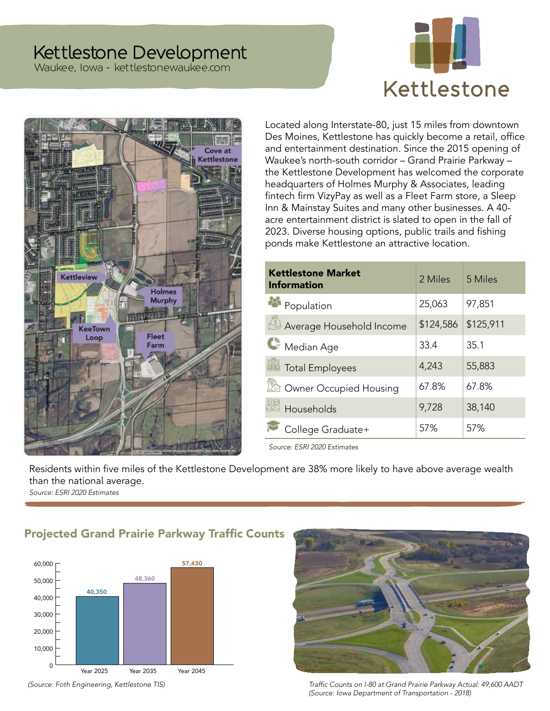# Kettlestone Development

Waukee, Iowa - kettlestonewaukee.com





Located along Interstate-80, just 15 miles from downtown Des Moines, Kettlestone has quickly become a retail, office and entertainment destination. Since the 2015 opening of Waukee's north-south corridor – Grand Prairie Parkway – the Kettlestone Development has welcomed the corporate headquarters of Holmes Murphy & Associates, leading fintech firm VizyPay as well as a Fleet Farm store, a Sleep Inn & Mainstay Suites and many other businesses. A 40 acre entertainment district is slated to open in the fall of 2023. Diverse housing options, public trails and fishing ponds make Kettlestone an attractive location.

| <b>Kettlestone Market</b><br><b>Information</b> | 2 Miles   | 5 Miles   |
|-------------------------------------------------|-----------|-----------|
| Population                                      | 25,063    | 97,851    |
| Average Household Income                        | \$124,586 | \$125,911 |
| Median Age                                      | 33.4      | 35.1      |
| Total Employees                                 | 4,243     | 55,883    |
| Owner Occupied Housing                          | 67.8%     | 67.8%     |
| Households                                      | 9,728     | 38,140    |
| College Graduate+                               | 57%       | 57%       |

*Source: ESRI 2020 Estimates*

Residents within five miles of the Kettlestone Development are 38% more likely to have above average wealth than the national average.

*Source: ESRI 2020 Estimates*

## Projected Grand Prairie Parkway Traffic Counts



(Source: Foth Engineering, Kettlestone TIS)



Traffic Counts on I-80 at Grand Prairie Parkway Actual: 49,600 AADT (Source: Iowa Department of Transportation - 2018)